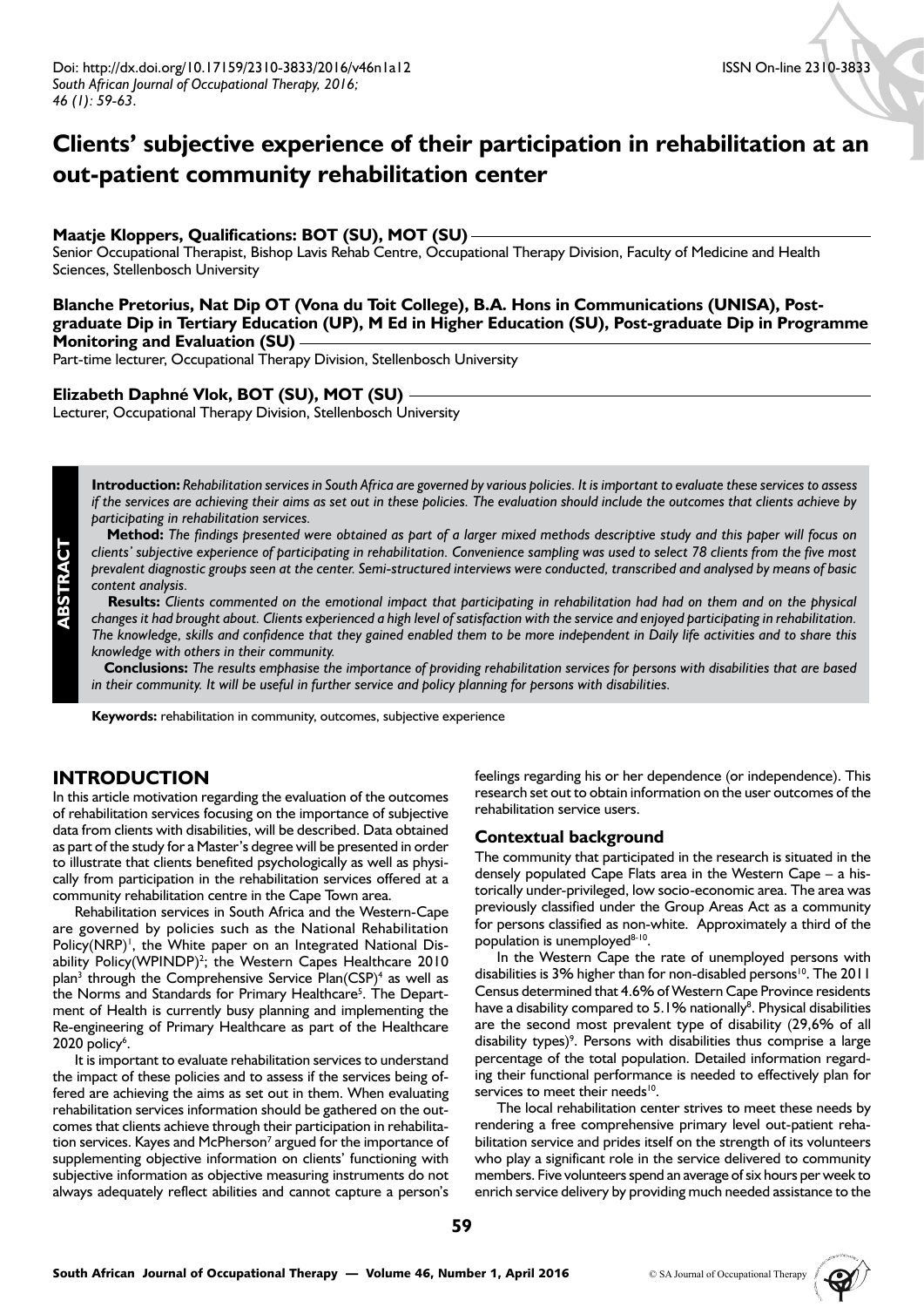# **Clients' subjective experience of their participation in rehabilitation at an out-patient community rehabilitation center**

#### **Maatje Kloppers, Qualifications: BOT (SU), MOT (SU)**

Senior Occupational Therapist, Bishop Lavis Rehab Centre, Occupational Therapy Division, Faculty of Medicine and Health Sciences, Stellenbosch University

**Blanche Pretorius, Nat Dip OT (Vona du Toit College), B.A. Hons in Communications (UNISA), Postgraduate Dip in Tertiary Education (UP), M Ed in Higher Education (SU), Post-graduate Dip in Programme Monitoring and Evaluation (SU)**

Part-time lecturer, Occupational Therapy Division, Stellenbosch University

#### **Elizabeth Daphné Vlok, BOT (SU), MOT (SU)**

Lecturer, Occupational Therapy Division, Stellenbosch University

**Introduction:** *Rehabilitation services in South Africa are governed by various policies. It is important to evaluate these services to assess if the services are achieving their aims as set out in these policies. The evaluation should include the outcomes that clients achieve by participating in rehabilitation services.*

 **Method:** *The findings presented were obtained as part of a larger mixed methods descriptive study and this paper will focus on clients' subjective experience of participating in rehabilitation. Convenience sampling was used to select 78 clients from the five most prevalent diagnostic groups seen at the center. Semi-structured interviews were conducted, transcribed and analysed by means of basic content analysis.*

 **Results:** *Clients commented on the emotional impact that participating in rehabilitation had had on them and on the physical changes it had brought about. Clients experienced a high level of satisfaction with the service and enjoyed participating in rehabilitation. The knowledge, skills and confidence that they gained enabled them to be more independent in Daily life activities and to share this knowledge with others in their community.*

 **Conclusions:** *The results emphasise the importance of providing rehabilitation services for persons with disabilities that are based in their community. It will be useful in further service and policy planning for persons with disabilities.*

**Keywords:** rehabilitation in community, outcomes, subjective experience

## **INTRODUCTION**

**ABSTRACT**

In this article motivation regarding the evaluation of the outcomes of rehabilitation services focusing on the importance of subjective data from clients with disabilities, will be described. Data obtained as part of the study for a Master's degree will be presented in order to illustrate that clients benefited psychologically as well as physically from participation in the rehabilitation services offered at a community rehabilitation centre in the Cape Town area.

Rehabilitation services in South Africa and the Western-Cape are governed by policies such as the National Rehabilitation Policy(NRP)<sup>1</sup>, the White paper on an Integrated National Disability Policy $(WPINDP)^2$ ; the Western Capes Healthcare 2010 plan<sup>3</sup> through the Comprehensive Service Plan(CSP)<sup>4</sup> as well as the Norms and Standards for Primary Healthcare<sup>5</sup>. The Department of Health is currently busy planning and implementing the Re-engineering of Primary Healthcare as part of the Healthcare 2020 policy<sup>6</sup>.

It is important to evaluate rehabilitation services to understand the impact of these policies and to assess if the services being offered are achieving the aims as set out in them. When evaluating rehabilitation services information should be gathered on the outcomes that clients achieve through their participation in rehabilitation services. Kayes and McPherson<sup>7</sup> argued for the importance of supplementing objective information on clients' functioning with subjective information as objective measuring instruments do not always adequately reflect abilities and cannot capture a person's feelings regarding his or her dependence (or independence). This research set out to obtain information on the user outcomes of the rehabilitation service users.

#### **Contextual background**

The community that participated in the research is situated in the densely populated Cape Flats area in the Western Cape – a historically under-privileged, low socio-economic area. The area was previously classified under the Group Areas Act as a community for persons classified as non-white. Approximately a third of the population is unemployed<sup>8-10</sup>.

In the Western Cape the rate of unemployed persons with disabilities is 3% higher than for non-disabled persons<sup>10</sup>. The 2011 Census determined that 4.6% of Western Cape Province residents have a disability compared to 5.1% nationally<sup>8</sup>. Physical disabilities are the second most prevalent type of disability (29,6% of all disability types)<sup>9</sup>. Persons with disabilities thus comprise a large percentage of the total population. Detailed information regarding their functional performance is needed to effectively plan for services to meet their needs<sup>10</sup>.

The local rehabilitation center strives to meet these needs by rendering a free comprehensive primary level out-patient rehabilitation service and prides itself on the strength of its volunteers who play a significant role in the service delivered to community members. Five volunteers spend an average of six hours per week to enrich service delivery by providing much needed assistance to the

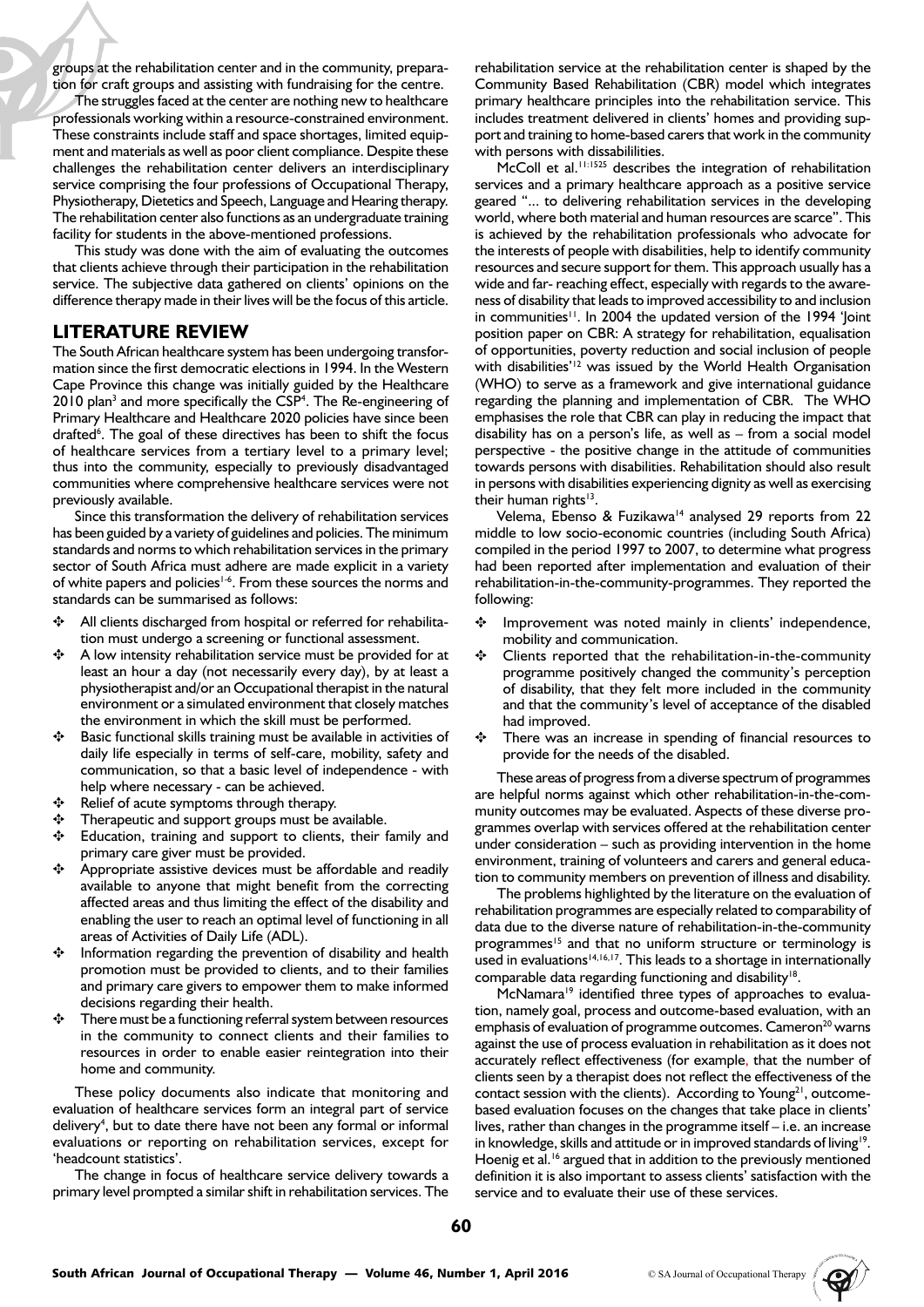groups at the rehabilitation center and in the community, preparation for craft groups and assisting with fundraising for the centre.

The struggles faced at the center are nothing new to healthcare professionals working within a resource-constrained environment. These constraints include staff and space shortages, limited equipment and materials as well as poor client compliance. Despite these challenges the rehabilitation center delivers an interdisciplinary service comprising the four professions of Occupational Therapy, Physiotherapy, Dietetics and Speech, Language and Hearing therapy. The rehabilitation center also functions as an undergraduate training facility for students in the above-mentioned professions.

This study was done with the aim of evaluating the outcomes that clients achieve through their participation in the rehabilitation service. The subjective data gathered on clients' opinions on the difference therapy made in their lives will be the focus of this article.

### **LITERATURE REVIEW**

The South African healthcare system has been undergoing transformation since the first democratic elections in 1994. In the Western Cape Province this change was initially guided by the Healthcare 2010 plan<sup>3</sup> and more specifically the CSP<sup>4</sup>. The Re-engineering of Primary Healthcare and Healthcare 2020 policies have since been drafted<sup>6</sup>. The goal of these directives has been to shift the focus of healthcare services from a tertiary level to a primary level; thus into the community, especially to previously disadvantaged communities where comprehensive healthcare services were not previously available.

Since this transformation the delivery of rehabilitation services has been guided by a variety of guidelines and policies. The minimum standards and norms to which rehabilitation services in the primary sector of South Africa must adhere are made explicit in a variety of white papers and policies<sup>1-6</sup>. From these sources the norms and standards can be summarised as follows:

- ✥ All clients discharged from hospital or referred for rehabilitation must undergo a screening or functional assessment.
- ✥ A low intensity rehabilitation service must be provided for at least an hour a day (not necessarily every day), by at least a physiotherapist and/or an Occupational therapist in the natural environment or a simulated environment that closely matches the environment in which the skill must be performed.
- ✥ Basic functional skills training must be available in activities of daily life especially in terms of self-care, mobility, safety and communication, so that a basic level of independence - with help where necessary - can be achieved.
- ✥ Relief of acute symptoms through therapy.
- Therapeutic and support groups must be available.
- Education, training and support to clients, their family and primary care giver must be provided.
- ✥ Appropriate assistive devices must be affordable and readily available to anyone that might benefit from the correcting affected areas and thus limiting the effect of the disability and enabling the user to reach an optimal level of functioning in all areas of Activities of Daily Life (ADL).
- Information regarding the prevention of disability and health promotion must be provided to clients, and to their families and primary care givers to empower them to make informed decisions regarding their health.
- There must be a functioning referral system between resources in the community to connect clients and their families to resources in order to enable easier reintegration into their home and community.

These policy documents also indicate that monitoring and evaluation of healthcare services form an integral part of service delivery<sup>4</sup>, but to date there have not been any formal or informal evaluations or reporting on rehabilitation services, except for 'headcount statistics'.

The change in focus of healthcare service delivery towards a primary level prompted a similar shift in rehabilitation services. The rehabilitation service at the rehabilitation center is shaped by the Community Based Rehabilitation (CBR) model which integrates primary healthcare principles into the rehabilitation service. This includes treatment delivered in clients' homes and providing support and training to home-based carers that work in the community with persons with dissabililities.

McColl et al.<sup>11:1525</sup> describes the integration of rehabilitation services and a primary healthcare approach as a positive service geared "... to delivering rehabilitation services in the developing world, where both material and human resources are scarce". This is achieved by the rehabilitation professionals who advocate for the interests of people with disabilities, help to identify community resources and secure support for them. This approach usually has a wide and far- reaching effect, especially with regards to the awareness of disability that leads to improved accessibility to and inclusion in communities<sup>11</sup>. In 2004 the updated version of the 1994 'loint position paper on CBR: A strategy for rehabilitation, equalisation of opportunities, poverty reduction and social inclusion of people with disabilities'<sup>12</sup> was issued by the World Health Organisation (WHO) to serve as a framework and give international guidance regarding the planning and implementation of CBR. The WHO emphasises the role that CBR can play in reducing the impact that disability has on a person's life, as well as – from a social model perspective - the positive change in the attitude of communities towards persons with disabilities. Rehabilitation should also result in persons with disabilities experiencing dignity as well as exercising their human rights<sup>13</sup>.

Velema, Ebenso & Fuzikawa<sup>14</sup> analysed 29 reports from 22 middle to low socio-economic countries (including South Africa) compiled in the period 1997 to 2007, to determine what progress had been reported after implementation and evaluation of their rehabilitation-in-the-community-programmes. They reported the following:

- ✥ Improvement was noted mainly in clients' independence, mobility and communication.
- ✥ Clients reported that the rehabilitation-in-the-community programme positively changed the community's perception of disability, that they felt more included in the community and that the community's level of acceptance of the disabled had improved.
- There was an increase in spending of financial resources to provide for the needs of the disabled.

These areas of progress from a diverse spectrum of programmes are helpful norms against which other rehabilitation-in-the-community outcomes may be evaluated. Aspects of these diverse programmes overlap with services offered at the rehabilitation center under consideration – such as providing intervention in the home environment, training of volunteers and carers and general education to community members on prevention of illness and disability.

The problems highlighted by the literature on the evaluation of rehabilitation programmes are especially related to comparability of data due to the diverse nature of rehabilitation-in-the-community programmes<sup>15</sup> and that no uniform structure or terminology is used in evaluations<sup>14,16,17</sup>. This leads to a shortage in internationally comparable data regarding functioning and disability<sup>18</sup>.

McNamara<sup>19</sup> identified three types of approaches to evaluation, namely goal, process and outcome-based evaluation, with an emphasis of evaluation of programme outcomes. Cameron<sup>20</sup> warns against the use of process evaluation in rehabilitation as it does not accurately reflect effectiveness (for example, that the number of clients seen by a therapist does not reflect the effectiveness of the contact session with the clients). According to Young<sup>21</sup>, outcomebased evaluation focuses on the changes that take place in clients' lives, rather than changes in the programme itself – i.e. an increase in knowledge, skills and attitude or in improved standards of living<sup>19</sup>. Hoenig et al.<sup>16</sup> argued that in addition to the previously mentioned definition it is also important to assess clients' satisfaction with the service and to evaluate their use of these services.

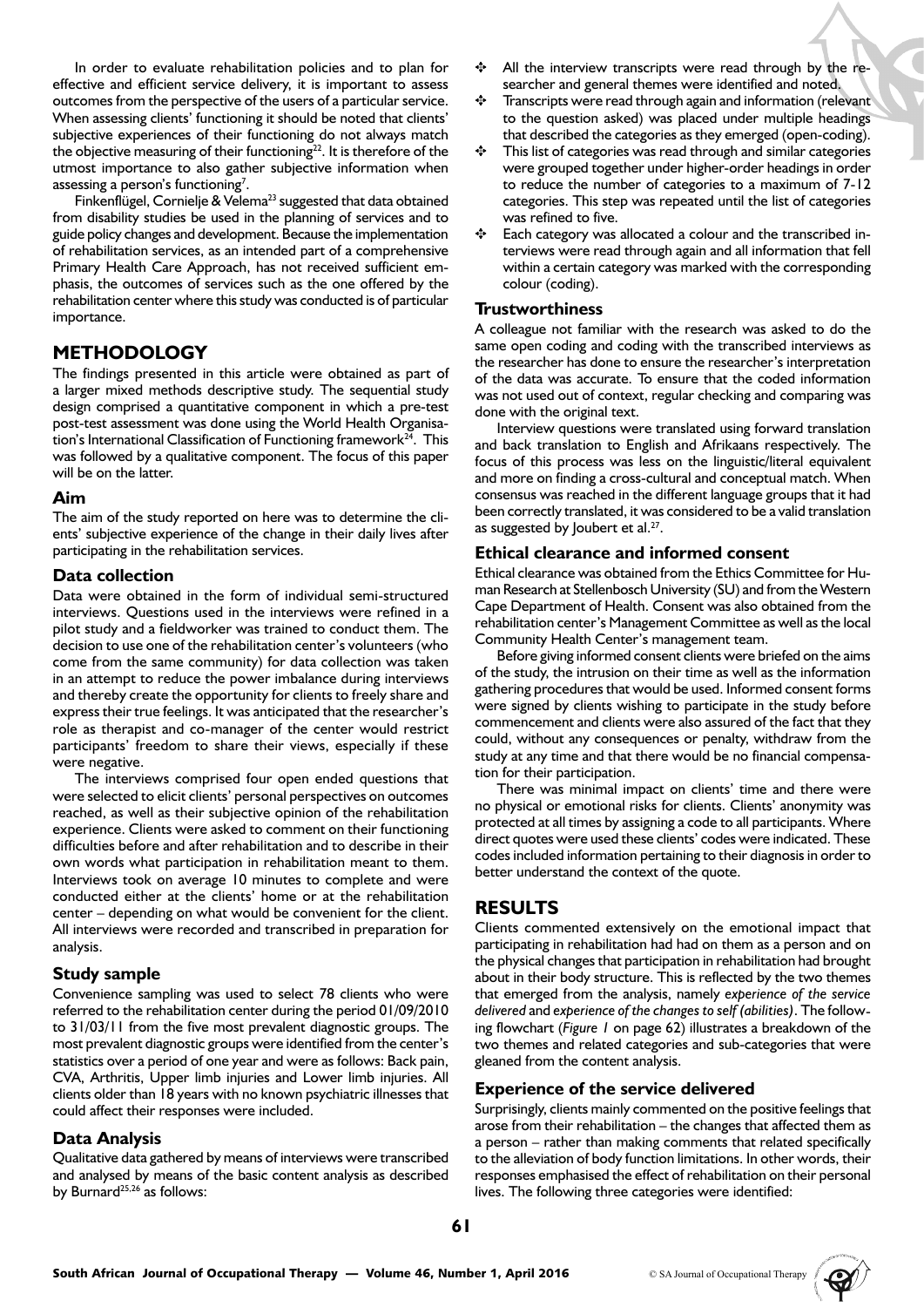In order to evaluate rehabilitation policies and to plan for effective and efficient service delivery, it is important to assess outcomes from the perspective of the users of a particular service. When assessing clients' functioning it should be noted that clients' subjective experiences of their functioning do not always match the objective measuring of their functioning<sup>22</sup>. It is therefore of the utmost importance to also gather subjective information when assessing a person's functioning<sup>7</sup>.

Finkenflügel, Cornielje & Velema<sup>23</sup> suggested that data obtained from disability studies be used in the planning of services and to guide policy changes and development. Because the implementation of rehabilitation services, as an intended part of a comprehensive Primary Health Care Approach, has not received sufficient emphasis, the outcomes of services such as the one offered by the rehabilitation center where this study was conducted is of particular importance.

# **METHODOLOGY**

The findings presented in this article were obtained as part of a larger mixed methods descriptive study. The sequential study design comprised a quantitative component in which a pre-test post-test assessment was done using the World Health Organisation's International Classification of Functioning framework $24$ . This was followed by a qualitative component. The focus of this paper will be on the latter.

#### **Aim**

The aim of the study reported on here was to determine the clients' subjective experience of the change in their daily lives after participating in the rehabilitation services.

### **Data collection**

Data were obtained in the form of individual semi-structured interviews. Questions used in the interviews were refined in a pilot study and a fieldworker was trained to conduct them. The decision to use one of the rehabilitation center's volunteers (who come from the same community) for data collection was taken in an attempt to reduce the power imbalance during interviews and thereby create the opportunity for clients to freely share and express their true feelings. It was anticipated that the researcher's role as therapist and co-manager of the center would restrict participants' freedom to share their views, especially if these were negative.

The interviews comprised four open ended questions that were selected to elicit clients' personal perspectives on outcomes reached, as well as their subjective opinion of the rehabilitation experience. Clients were asked to comment on their functioning difficulties before and after rehabilitation and to describe in their own words what participation in rehabilitation meant to them. Interviews took on average 10 minutes to complete and were conducted either at the clients' home or at the rehabilitation center – depending on what would be convenient for the client. All interviews were recorded and transcribed in preparation for analysis.

### **Study sample**

Convenience sampling was used to select 78 clients who were referred to the rehabilitation center during the period 01/09/2010 to 31/03/11 from the five most prevalent diagnostic groups. The most prevalent diagnostic groups were identified from the center's statistics over a period of one year and were as follows: Back pain, CVA, Arthritis, Upper limb injuries and Lower limb injuries. All clients older than 18 years with no known psychiatric illnesses that could affect their responses were included.

### **Data Analysis**

Qualitative data gathered by means of interviews were transcribed and analysed by means of the basic content analysis as described by Burnard<sup>25,26</sup> as follows:

- All the interview transcripts were read through by the researcher and general themes were identified and noted.
- Transcripts were read through again and information (relevant to the question asked) was placed under multiple headings that described the categories as they emerged (open-coding).
- This list of categories was read through and similar categories were grouped together under higher-order headings in order to reduce the number of categories to a maximum of 7-12 categories. This step was repeated until the list of categories was refined to five.
- Each category was allocated a colour and the transcribed interviews were read through again and all information that fell within a certain category was marked with the corresponding colour (coding).

### **Trustworthiness**

A colleague not familiar with the research was asked to do the same open coding and coding with the transcribed interviews as the researcher has done to ensure the researcher's interpretation of the data was accurate. To ensure that the coded information was not used out of context, regular checking and comparing was done with the original text.

Interview questions were translated using forward translation and back translation to English and Afrikaans respectively. The focus of this process was less on the linguistic/literal equivalent and more on finding a cross-cultural and conceptual match. When consensus was reached in the different language groups that it had been correctly translated, it was considered to be a valid translation as suggested by Joubert et al.<sup>27</sup>.

### **Ethical clearance and informed consent**

Ethical clearance was obtained from the Ethics Committee for Human Research at Stellenbosch University (SU) and from the Western Cape Department of Health. Consent was also obtained from the rehabilitation center's Management Committee as well as the local Community Health Center's management team.

Before giving informed consent clients were briefed on the aims of the study, the intrusion on their time as well as the information gathering procedures that would be used. Informed consent forms were signed by clients wishing to participate in the study before commencement and clients were also assured of the fact that they could, without any consequences or penalty, withdraw from the study at any time and that there would be no financial compensation for their participation.

There was minimal impact on clients' time and there were no physical or emotional risks for clients. Clients' anonymity was protected at all times by assigning a code to all participants. Where direct quotes were used these clients' codes were indicated. These codes included information pertaining to their diagnosis in order to better understand the context of the quote.

# **RESULTS**

Clients commented extensively on the emotional impact that participating in rehabilitation had had on them as a person and on the physical changes that participation in rehabilitation had brought about in their body structure. This is reflected by the two themes that emerged from the analysis, namely *experience of the service delivered* and *experience of the changes to self (abilities)*. The following flowchart (*Figure 1* on page 62) illustrates a breakdown of the two themes and related categories and sub-categories that were gleaned from the content analysis.

### **Experience of the service delivered**

Surprisingly, clients mainly commented on the positive feelings that arose from their rehabilitation – the changes that affected them as a person – rather than making comments that related specifically to the alleviation of body function limitations. In other words, their responses emphasised the effect of rehabilitation on their personal lives. The following three categories were identified:

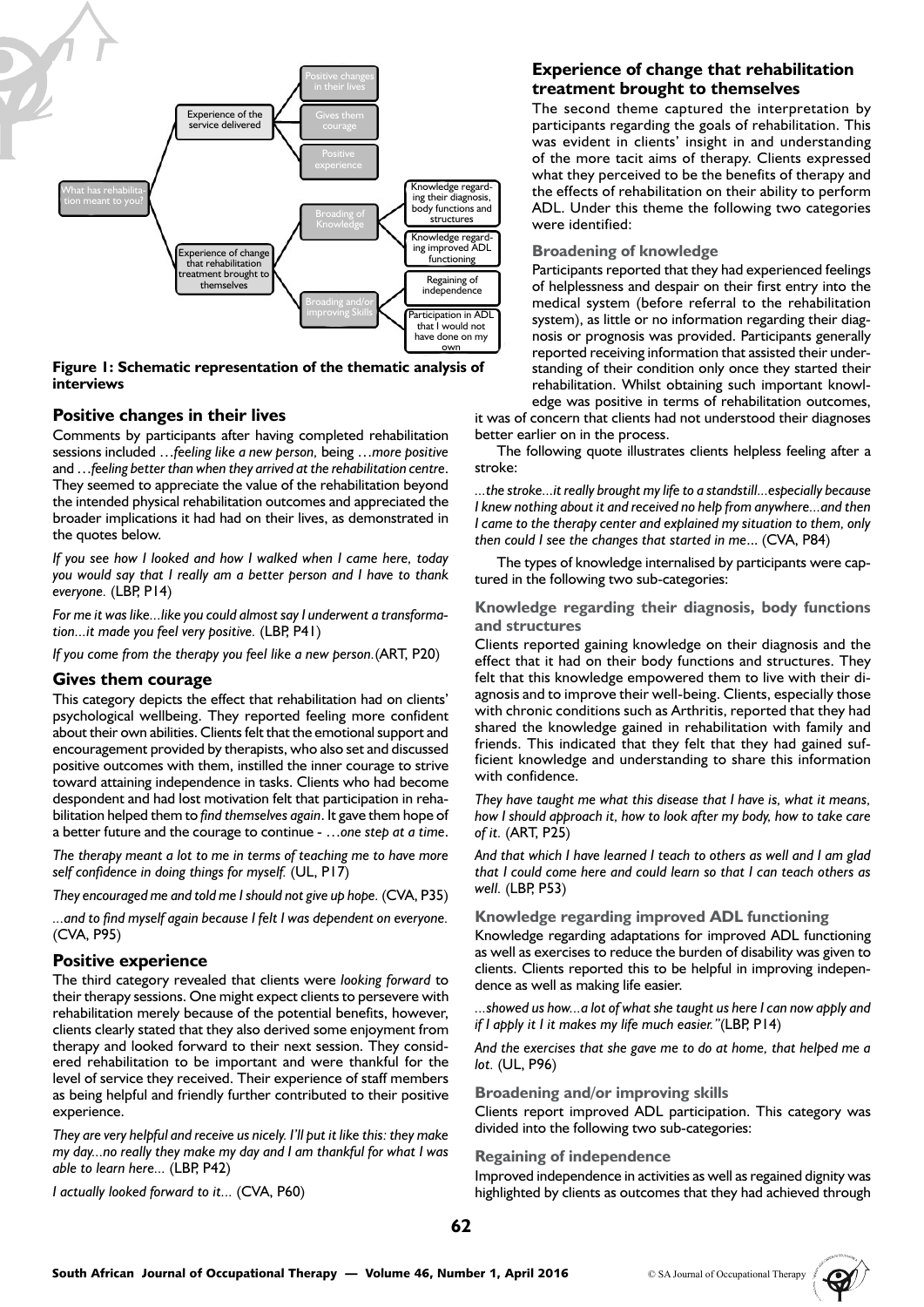

#### **Figure 1: Schematic representation of the thematic analysis of interviews**

### **Positive changes in their lives**

Comments by participants after having completed rehabilitation sessions included …*feeling like a new person,* being …*more positive* and …*feeling better than when they arrived at the rehabilitation centre*. They seemed to appreciate the value of the rehabilitation beyond the intended physical rehabilitation outcomes and appreciated the broader implications it had had on their lives, as demonstrated in the quotes below.

*If you see how I looked and how I walked when I came here, today you would say that I really am a better person and I have to thank everyone.* (LBP, P14)

*For me it was like...like you could almost say I underwent a transformation...it made you feel very positive.* (LBP, P41)

*If you come from the therapy you feel like a new person.*(ART, P20)

#### **Gives them courage**

This category depicts the effect that rehabilitation had on clients' psychological wellbeing. They reported feeling more confident about their own abilities. Clients felt that the emotional support and encouragement provided by therapists, who also set and discussed positive outcomes with them, instilled the inner courage to strive toward attaining independence in tasks. Clients who had become despondent and had lost motivation felt that participation in rehabilitation helped them to *find themselves again*. It gave them hope of a better future and the courage to continue - …*one step at a time*.

*The therapy meant a lot to me in terms of teaching me to have more self confidence in doing things for myself.* (UL, P17)

*They encouraged me and told me I should not give up hope.* (CVA, P35)

*...and to find myself again because I felt I was dependent on everyone.*  (CVA, P95)

### **Positive experience**

The third category revealed that clients were *looking forward* to their therapy sessions. One might expect clients to persevere with rehabilitation merely because of the potential benefits, however, clients clearly stated that they also derived some enjoyment from therapy and looked forward to their next session. They considered rehabilitation to be important and were thankful for the level of service they received. Their experience of staff members as being helpful and friendly further contributed to their positive experience.

*They are very helpful and receive us nicely. I'll put it like this: they make my day...no really they make my day and I am thankful for what I was able to learn here...* (LBP, P42)

*I actually looked forward to it...* (CVA, P60)

### **Experience of change that rehabilitation treatment brought to themselves**

The second theme captured the interpretation by participants regarding the goals of rehabilitation. This was evident in clients' insight in and understanding of the more tacit aims of therapy. Clients expressed what they perceived to be the benefits of therapy and the effects of rehabilitation on their ability to perform ADL. Under this theme the following two categories were identified:

#### **Broadening of knowledge**

Participants reported that they had experienced feelings of helplessness and despair on their first entry into the medical system (before referral to the rehabilitation system), as little or no information regarding their diagnosis or prognosis was provided. Participants generally reported receiving information that assisted their understanding of their condition only once they started their rehabilitation. Whilst obtaining such important knowledge was positive in terms of rehabilitation outcomes,

it was of concern that clients had not understood their diagnoses better earlier on in the process.

The following quote illustrates clients helpless feeling after a stroke:

*...the stroke...it really brought my life to a standstill...especially because I knew nothing about it and received no help from anywhere...and then I came to the therapy center and explained my situation to them, only then could I see the changes that started in me*... (CVA, P84)

The types of knowledge internalised by participants were captured in the following two sub-categories:

**Knowledge regarding their diagnosis, body functions and structures**

Clients reported gaining knowledge on their diagnosis and the effect that it had on their body functions and structures. They felt that this knowledge empowered them to live with their diagnosis and to improve their well-being. Clients, especially those with chronic conditions such as Arthritis, reported that they had shared the knowledge gained in rehabilitation with family and friends. This indicated that they felt that they had gained sufficient knowledge and understanding to share this information with confidence.

*They have taught me what this disease that I have is, what it means, how I should approach it, how to look after my body, how to take care of it.* (ART, P25)

*And that which I have learned I teach to others as well and I am glad that I could come here and could learn so that I can teach others as well.* (LBP, P53)

**Knowledge regarding improved ADL functioning**

Knowledge regarding adaptations for improved ADL functioning as well as exercises to reduce the burden of disability was given to clients. Clients reported this to be helpful in improving independence as well as making life easier.

*...showed us how...a lot of what she taught us here I can now apply and if I apply it I it makes my life much easier."*(LBP, P14)

*And the exercises that she gave me to do at home, that helped me a lot.* (UL, P96)

#### **Broadening and/or improving skills**

Clients report improved ADL participation. This category was divided into the following two sub-categories:

#### **Regaining of independence**

Improved independence in activities as well as regained dignity was highlighted by clients as outcomes that they had achieved through

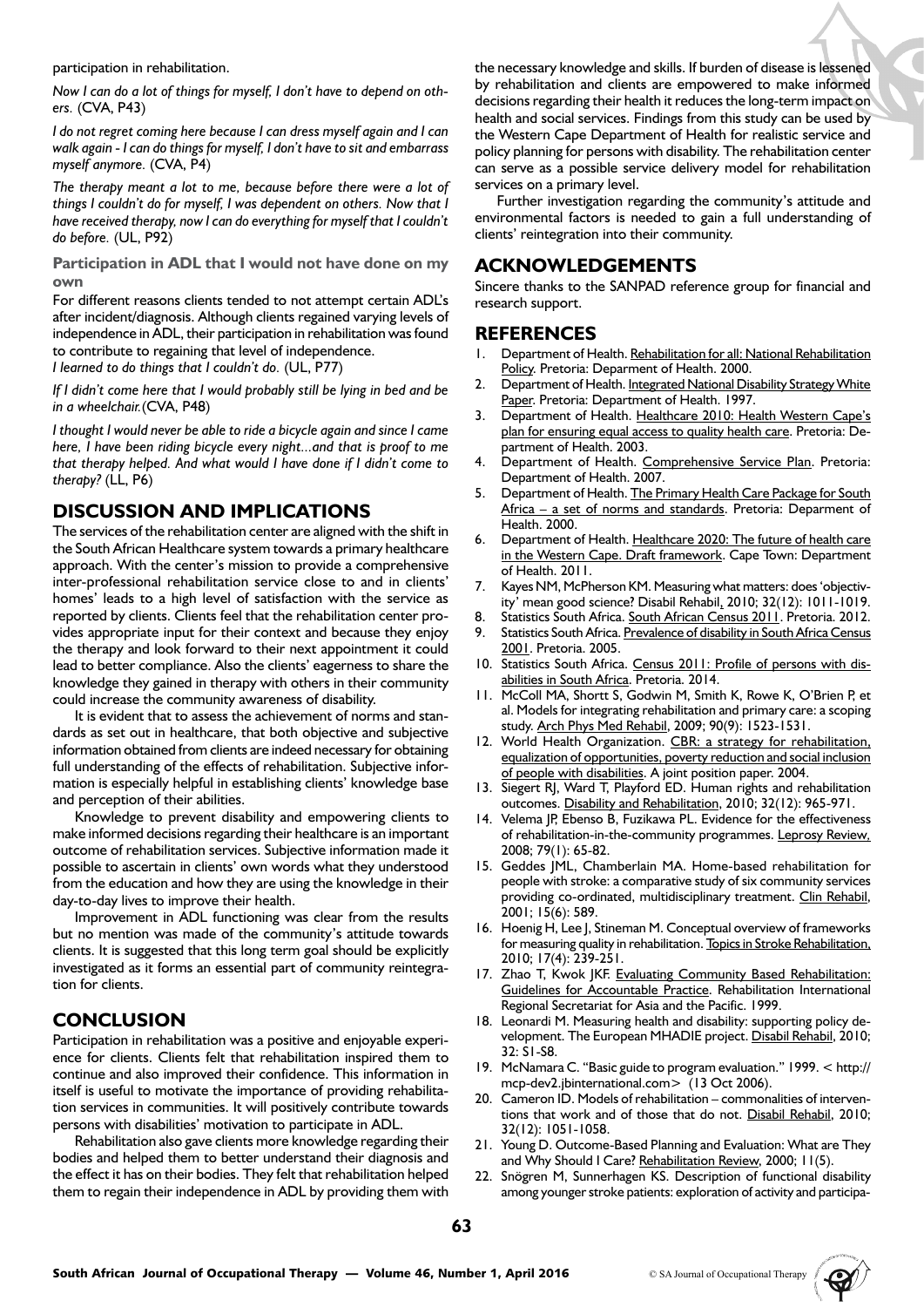participation in rehabilitation.

*Now I can do a lot of things for myself, I don't have to depend on others.* (CVA, P43)

*I do not regret coming here because I can dress myself again and I can walk again - I can do things for myself, I don't have to sit and embarrass myself anymore.* (CVA, P4)

*The therapy meant a lot to me, because before there were a lot of things I couldn't do for myself, I was dependent on others. Now that I have received therapy, now I can do everything for myself that I couldn't do before.* (UL, P92)

**Participation in ADL that I would not have done on my own**

For different reasons clients tended to not attempt certain ADL's after incident/diagnosis. Although clients regained varying levels of independence in ADL, their participation in rehabilitation was found to contribute to regaining that level of independence.

*I learned to do things that I couldn't do.* (UL, P77)

*If I didn't come here that I would probably still be lying in bed and be in a wheelchair.*(CVA, P48)

*I thought I would never be able to ride a bicycle again and since I came here, I have been riding bicycle every night...and that is proof to me that therapy helped. And what would I have done if I didn't come to therapy?* (LL, P6)

# **DISCUSSION AND IMPLICATIONS**

The services of the rehabilitation center are aligned with the shift in the South African Healthcare system towards a primary healthcare approach. With the center's mission to provide a comprehensive inter-professional rehabilitation service close to and in clients' homes' leads to a high level of satisfaction with the service as reported by clients. Clients feel that the rehabilitation center provides appropriate input for their context and because they enjoy the therapy and look forward to their next appointment it could lead to better compliance. Also the clients' eagerness to share the knowledge they gained in therapy with others in their community could increase the community awareness of disability.

It is evident that to assess the achievement of norms and standards as set out in healthcare, that both objective and subjective information obtained from clients are indeed necessary for obtaining full understanding of the effects of rehabilitation. Subjective information is especially helpful in establishing clients' knowledge base and perception of their abilities.

Knowledge to prevent disability and empowering clients to make informed decisions regarding their healthcare is an important outcome of rehabilitation services. Subjective information made it possible to ascertain in clients' own words what they understood from the education and how they are using the knowledge in their day-to-day lives to improve their health.

Improvement in ADL functioning was clear from the results but no mention was made of the community's attitude towards clients. It is suggested that this long term goal should be explicitly investigated as it forms an essential part of community reintegration for clients.

# **CONCLUSION**

Participation in rehabilitation was a positive and enjoyable experience for clients. Clients felt that rehabilitation inspired them to continue and also improved their confidence. This information in itself is useful to motivate the importance of providing rehabilitation services in communities. It will positively contribute towards persons with disabilities' motivation to participate in ADL.

Rehabilitation also gave clients more knowledge regarding their bodies and helped them to better understand their diagnosis and the effect it has on their bodies. They felt that rehabilitation helped them to regain their independence in ADL by providing them with the necessary knowledge and skills. If burden of disease is lessened by rehabilitation and clients are empowered to make informed decisions regarding their health it reduces the long-term impact on health and social services. Findings from this study can be used by the Western Cape Department of Health for realistic service and policy planning for persons with disability. The rehabilitation center can serve as a possible service delivery model for rehabilitation services on a primary level.

Further investigation regarding the community's attitude and environmental factors is needed to gain a full understanding of clients' reintegration into their community.

# **ACKNOWLEDGEMENTS**

Sincere thanks to the SANPAD reference group for financial and research support.

# **REFERENCES**

- 1. Department of Health. Rehabilitation for all: National Rehabilitation Policy. Pretoria: Deparment of Health. 2000.
- 2. Department of Health. Integrated National Disability Strategy White Paper. Pretoria: Department of Health. 1997.
- 3. Department of Health. Healthcare 2010: Health Western Cape's plan for ensuring equal access to quality health care. Pretoria: Department of Health. 2003.
- 4. Department of Health. Comprehensive Service Plan. Pretoria: Department of Health. 2007.
- Department of Health. The Primary Health Care Package for South Africa – a set of norms and standards. Pretoria: Deparment of Health. 2000.
- 6. Department of Health. Healthcare 2020: The future of health care in the Western Cape. Draft framework. Cape Town: Department of Health. 2011.
- 7. Kayes NM, McPherson KM. Measuring what matters: does 'objectivity' mean good science? Disabil Rehabil, 2010; 32(12): 1011-1019.
- Statistics South Africa. South African Census 2011. Pretoria. 2012. 9. Statistics South Africa. Prevalence of disability in South Africa Census 2001. Pretoria. 2005.
- 10. Statistics South Africa. Census 2011: Profile of persons with disabilities in South Africa. Pretoria. 2014.
- 11. McColl MA, Shortt S, Godwin M, Smith K, Rowe K, O'Brien P, et al. Models for integrating rehabilitation and primary care: a scoping study. Arch Phys Med Rehabil, 2009; 90(9): 1523-1531.
- 12. World Health Organization. CBR: a strategy for rehabilitation, equalization of opportunities, poverty reduction and social inclusion of people with disabilities. A joint position paper. 2004.
- 13. Siegert RJ, Ward T, Playford ED. Human rights and rehabilitation outcomes. Disability and Rehabilitation, 2010; 32(12): 965-971.
- 14. Velema JP, Ebenso B, Fuzikawa PL. Evidence for the effectiveness of rehabilitation-in-the-community programmes. Leprosy Review*,* 2008; 79(1): 65-82.
- 15. Geddes JML, Chamberlain MA. Home-based rehabilitation for people with stroke: a comparative study of six community services providing co-ordinated, multidisciplinary treatment. Clin Rehabil, 2001; 15(6): 589.
- 16. Hoenig H, Lee J, Stineman M. Conceptual overview of frameworks for measuring quality in rehabilitation. Topics in Stroke Rehabilitation, 2010; 17(4): 239-251.
- 17. Zhao T, Kwok JKF. Evaluating Community Based Rehabilitation: Guidelines for Accountable Practice. Rehabilitation International Regional Secretariat for Asia and the Pacific. 1999.
- 18. Leonardi M. Measuring health and disability: supporting policy development. The European MHADIE project. Disabil Rehabil, 2010; 32: S1-S8.
- 19. McNamara C. "Basic guide to program evaluation." 1999. < http:// mcp-dev2.jbinternational.com> (13 Oct 2006).
- 20. Cameron ID. Models of rehabilitation commonalities of interventions that work and of those that do not. Disabil Rehabil, 2010; 32(12): 1051-1058.
- 21. Young D. Outcome-Based Planning and Evaluation: What are They and Why Should I Care? Rehabilitation Review, 2000; 11(5).
- 22. Snögren M, Sunnerhagen KS. Description of functional disability among younger stroke patients: exploration of activity and participa-